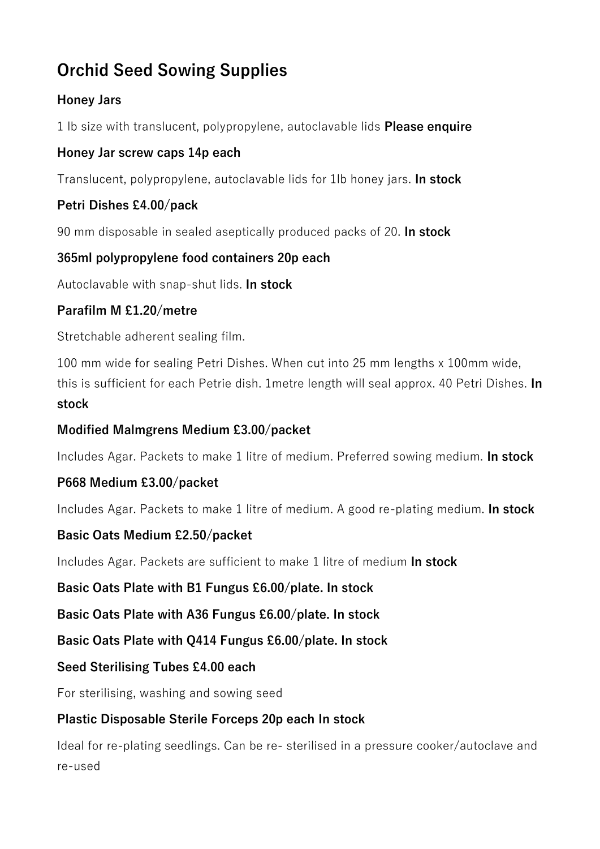# **Orchid Seed Sowing Supplies**

## **Honey Jars**

1 lb size with translucent, polypropylene, autoclavable lids **Please enquire**

## **Honey Jar screw caps 14p each**

Translucent, polypropylene, autoclavable lids for 1lb honey jars. **In stock**

# **Petri Dishes £4.00/pack**

90 mm disposable in sealed aseptically produced packs of 20. **In stock** 

# **365ml polypropylene food containers 20p each**

Autoclavable with snap-shut lids. **In stock** 

# **Parafilm M £1.20/metre**

Stretchable adherent sealing film.

100 mm wide for sealing Petri Dishes. When cut into 25 mm lengths x 100mm wide, this is sufficient for each Petrie dish. 1metre length will seal approx. 40 Petri Dishes. **In stock** 

## **Modified Malmgrens Medium £3.00/packet**

Includes Agar. Packets to make 1 litre of medium. Preferred sowing medium. **In stock**

# **P668 Medium £3.00/packet**

Includes Agar. Packets to make 1 litre of medium. A good re-plating medium. **In stock**

### **Basic Oats Medium £2.50/packet**

Includes Agar. Packets are sufficient to make 1 litre of medium **In stock** 

### **Basic Oats Plate with B1 Fungus £6.00/plate. In stock**

**Basic Oats Plate with A36 Fungus £6.00/plate. In stock** 

### **Basic Oats Plate with Q414 Fungus £6.00/plate. In stock**

### **Seed Sterilising Tubes £4.00 each**

For sterilising, washing and sowing seed

# **Plastic Disposable Sterile Forceps 20p each In stock**

Ideal for re-plating seedlings. Can be re- sterilised in a pressure cooker/autoclave and re-used